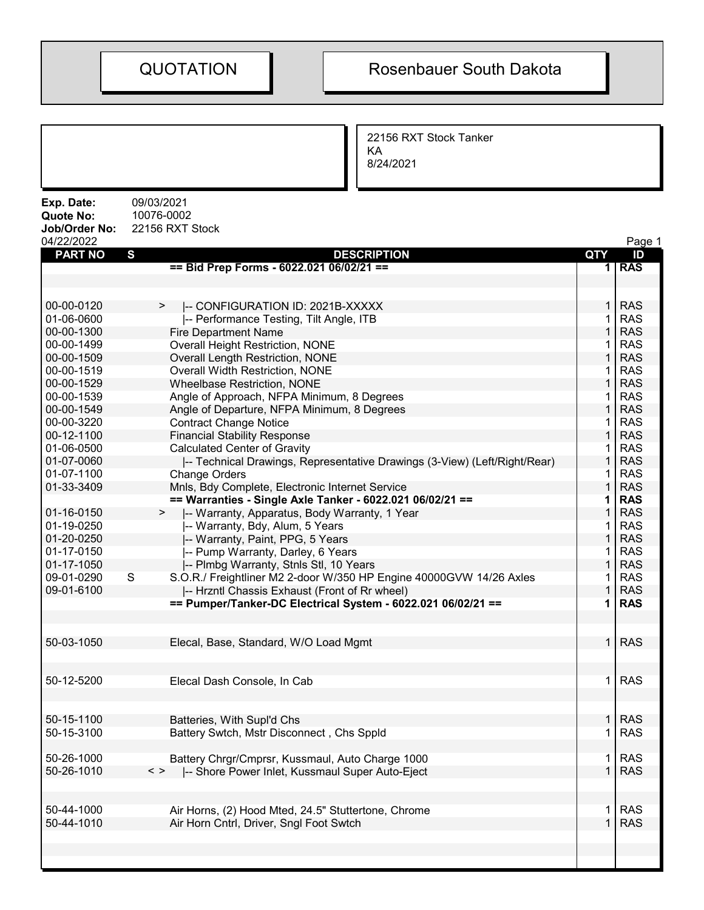22156 RXT Stock Tanker KA 8/24/2021

| Exp. Date:<br><b>Quote No:</b><br>Job/Order No:<br>04/22/2022 | 09/03/2021<br>10076-0002<br>22156 RXT Stock                                                                        |                             | Page 1                   |
|---------------------------------------------------------------|--------------------------------------------------------------------------------------------------------------------|-----------------------------|--------------------------|
| <b>PART NO</b>                                                | $\mathbf{s}$<br><b>DESCRIPTION</b>                                                                                 | <b>QTY</b>                  | ID                       |
|                                                               | == Bid Prep Forms - 6022.021 06/02/21 ==                                                                           | 1                           | <b>RAS</b>               |
|                                                               |                                                                                                                    |                             |                          |
| 00-00-0120                                                    | -- CONFIGURATION ID: 2021B-XXXXX<br>$\geq$                                                                         | $\mathbf 1$                 | <b>RAS</b>               |
| 01-06-0600                                                    | -- Performance Testing, Tilt Angle, ITB                                                                            | 1                           | <b>RAS</b>               |
| 00-00-1300                                                    | <b>Fire Department Name</b>                                                                                        | 1                           | <b>RAS</b>               |
| 00-00-1499                                                    | <b>Overall Height Restriction, NONE</b>                                                                            | 1.                          | <b>RAS</b>               |
| 00-00-1509                                                    | <b>Overall Length Restriction, NONE</b>                                                                            | $\mathbf{1}$                | <b>RAS</b>               |
| 00-00-1519                                                    | Overall Width Restriction, NONE                                                                                    | 1.                          | <b>RAS</b>               |
| 00-00-1529                                                    | <b>Wheelbase Restriction, NONE</b>                                                                                 | $\mathbf{1}$                | <b>RAS</b>               |
| 00-00-1539                                                    | Angle of Approach, NFPA Minimum, 8 Degrees                                                                         | 1.                          | <b>RAS</b>               |
| 00-00-1549                                                    | Angle of Departure, NFPA Minimum, 8 Degrees                                                                        | 1                           | <b>RAS</b>               |
| 00-00-3220                                                    | <b>Contract Change Notice</b>                                                                                      | 1                           | <b>RAS</b>               |
| 00-12-1100                                                    | <b>Financial Stability Response</b>                                                                                | $\mathbf{1}$                | <b>RAS</b>               |
| 01-06-0500                                                    | <b>Calculated Center of Gravity</b>                                                                                | 1.                          | <b>RAS</b>               |
| 01-07-0060                                                    | -- Technical Drawings, Representative Drawings (3-View) (Left/Right/Rear)                                          | $\mathbf{1}$                | <b>RAS</b>               |
| 01-07-1100                                                    | <b>Change Orders</b>                                                                                               | 1.                          | <b>RAS</b>               |
| 01-33-3409                                                    | Mnls, Bdy Complete, Electronic Internet Service                                                                    | $\mathbf{1}$                | <b>RAS</b>               |
|                                                               | == Warranties - Single Axle Tanker - 6022.021 06/02/21 ==                                                          | 1                           | <b>RAS</b>               |
| 01-16-0150                                                    | -- Warranty, Apparatus, Body Warranty, 1 Year<br>>                                                                 | 1                           | <b>RAS</b>               |
| 01-19-0250                                                    | -- Warranty, Bdy, Alum, 5 Years                                                                                    | 1                           | <b>RAS</b>               |
| 01-20-0250                                                    | -- Warranty, Paint, PPG, 5 Years                                                                                   | $\mathbf{1}$                | <b>RAS</b>               |
| 01-17-0150                                                    | -- Pump Warranty, Darley, 6 Years                                                                                  | 1.                          | <b>RAS</b>               |
| 01-17-1050                                                    |                                                                                                                    | $\mathbf{1}$                | <b>RAS</b>               |
|                                                               | -- Plmbg Warranty, Stnls Stl, 10 Years<br>$\mathsf{S}$                                                             |                             | <b>RAS</b>               |
| 09-01-0290                                                    | S.O.R./ Freightliner M2 2-door W/350 HP Engine 40000GVW 14/26 Axles                                                | 1.                          |                          |
| 09-01-6100                                                    | -- Hrzntl Chassis Exhaust (Front of Rr wheel)                                                                      | $\mathbf{1}$                | <b>RAS</b>               |
|                                                               | == Pumper/Tanker-DC Electrical System - 6022.021 06/02/21 ==                                                       | 1                           | <b>RAS</b>               |
| 50-03-1050                                                    | Elecal, Base, Standard, W/O Load Mgmt                                                                              | $\mathbf{1}$                | <b>RAS</b>               |
| 50-12-5200                                                    | Elecal Dash Console, In Cab                                                                                        | $\mathbf 1$                 | <b>RAS</b>               |
| 50-15-1100                                                    | Batteries, With Supl'd Chs                                                                                         | $\mathbf 1$                 | <b>RAS</b>               |
| 50-15-3100                                                    | Battery Swtch, Mstr Disconnect, Chs Sppld                                                                          | 1.                          | <b>RAS</b>               |
| 50-26-1000<br>50-26-1010                                      | Battery Chrgr/Cmprsr, Kussmaul, Auto Charge 1000<br>-- Shore Power Inlet, Kussmaul Super Auto-Eject<br>$\langle$ > | $\mathbf 1$<br>$\mathbf{1}$ | <b>RAS</b><br><b>RAS</b> |
|                                                               |                                                                                                                    |                             |                          |
| 50-44-1000                                                    | Air Horns, (2) Hood Mted, 24.5" Stuttertone, Chrome                                                                | 1.                          | <b>RAS</b>               |
| 50-44-1010                                                    | Air Horn Cntrl, Driver, Sngl Foot Swtch                                                                            | $\mathbf{1}$                | <b>RAS</b>               |
|                                                               |                                                                                                                    |                             |                          |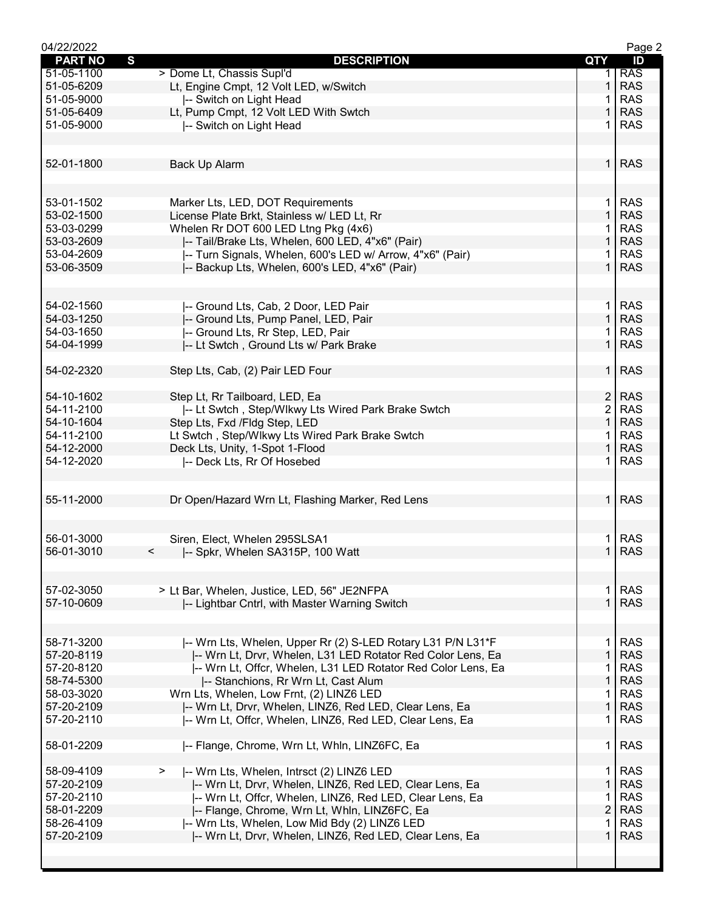| 04/22/2022     |                                                              |                | Page 2     |
|----------------|--------------------------------------------------------------|----------------|------------|
| <b>PART NO</b> | S<br><b>DESCRIPTION</b>                                      | QTY            | ID         |
| 51-05-1100     | > Dome Lt, Chassis Supl'd                                    | 1.             | <b>RAS</b> |
| 51-05-6209     | Lt, Engine Cmpt, 12 Volt LED, w/Switch                       | 1              | <b>RAS</b> |
| 51-05-9000     |                                                              | 1              | <b>RAS</b> |
|                | -- Switch on Light Head                                      |                |            |
| 51-05-6409     | Lt, Pump Cmpt, 12 Volt LED With Swtch                        | 1              | <b>RAS</b> |
| 51-05-9000     | -- Switch on Light Head                                      | 1              | <b>RAS</b> |
|                |                                                              |                |            |
|                |                                                              |                |            |
| 52-01-1800     | <b>Back Up Alarm</b>                                         |                | $1$ RAS    |
|                |                                                              |                |            |
|                |                                                              |                |            |
|                |                                                              |                |            |
| 53-01-1502     | Marker Lts, LED, DOT Requirements                            | $\mathbf 1$    | <b>RAS</b> |
| 53-02-1500     | License Plate Brkt, Stainless w/ LED Lt, Rr                  | $\mathbf{1}$   | <b>RAS</b> |
| 53-03-0299     | Whelen Rr DOT 600 LED Ltng Pkg (4x6)                         | 1              | <b>RAS</b> |
| 53-03-2609     | -- Tail/Brake Lts, Whelen, 600 LED, 4"x6" (Pair)             | $\mathbf{1}$   | <b>RAS</b> |
| 53-04-2609     |                                                              | 1              | <b>RAS</b> |
|                | -- Turn Signals, Whelen, 600's LED w/ Arrow, 4"x6" (Pair)    |                |            |
| 53-06-3509     | -- Backup Lts, Whelen, 600's LED, 4"x6" (Pair)               | $\mathbf 1$    | <b>RAS</b> |
|                |                                                              |                |            |
|                |                                                              |                |            |
| 54-02-1560     | -- Ground Lts, Cab, 2 Door, LED Pair                         | $\mathbf 1$    | <b>RAS</b> |
| 54-03-1250     | -- Ground Lts, Pump Panel, LED, Pair                         | $\mathbf{1}$   | <b>RAS</b> |
| 54-03-1650     |                                                              |                | <b>RAS</b> |
|                | -- Ground Lts, Rr Step, LED, Pair                            | 1.             |            |
| 54-04-1999     | -- Lt Swtch, Ground Lts w/ Park Brake                        | $\mathbf{1}$   | <b>RAS</b> |
|                |                                                              |                |            |
| 54-02-2320     | Step Lts, Cab, (2) Pair LED Four                             | 1 <sup>1</sup> | <b>RAS</b> |
|                |                                                              |                |            |
| 54-10-1602     | Step Lt, Rr Tailboard, LED, Ea                               | $\overline{c}$ | <b>RAS</b> |
| 54-11-2100     | -- Lt Swtch, Step/Wlkwy Lts Wired Park Brake Swtch           | $\overline{2}$ | <b>RAS</b> |
|                |                                                              |                |            |
| 54-10-1604     | Step Lts, Fxd /Fldg Step, LED                                | $\mathbf 1$    | <b>RAS</b> |
| 54-11-2100     | Lt Swtch, Step/Wlkwy Lts Wired Park Brake Swtch              | 1              | <b>RAS</b> |
| 54-12-2000     | Deck Lts, Unity, 1-Spot 1-Flood                              | $\mathbf{1}$   | <b>RAS</b> |
| 54-12-2020     | -- Deck Lts, Rr Of Hosebed                                   | 1.             | <b>RAS</b> |
|                |                                                              |                |            |
|                |                                                              |                |            |
| 55-11-2000     | Dr Open/Hazard Wrn Lt, Flashing Marker, Red Lens             | $\mathbf{1}$   | <b>RAS</b> |
|                |                                                              |                |            |
|                |                                                              |                |            |
|                |                                                              |                |            |
| 56-01-3000     | Siren, Elect, Whelen 295SLSA1                                | 1.             | <b>RAS</b> |
| 56-01-3010     | -- Spkr, Whelen SA315P, 100 Watt<br>$\,<\,$                  | 1              | <b>RAS</b> |
|                |                                                              |                |            |
|                |                                                              |                |            |
| 57-02-3050     | > Lt Bar, Whelen, Justice, LED, 56" JE2NFPA                  | 1.             | <b>RAS</b> |
| 57-10-0609     |                                                              |                | <b>RAS</b> |
|                | -- Lightbar Cntrl, with Master Warning Switch                |                |            |
|                |                                                              |                |            |
|                |                                                              |                |            |
| 58-71-3200     | -- Wrn Lts, Whelen, Upper Rr (2) S-LED Rotary L31 P/N L31*F  | 1.             | <b>RAS</b> |
| 57-20-8119     | -- Wrn Lt, Drvr, Whelen, L31 LED Rotator Red Color Lens, Ea  | $\mathbf{1}$   | <b>RAS</b> |
| 57-20-8120     | -- Wrn Lt, Offcr, Whelen, L31 LED Rotator Red Color Lens, Ea | 1.             | <b>RAS</b> |
| 58-74-5300     | -- Stanchions, Rr Wrn Lt, Cast Alum                          | $\mathbf{1}$   | <b>RAS</b> |
| 58-03-3020     |                                                              |                | <b>RAS</b> |
|                | Wrn Lts, Whelen, Low Frnt, (2) LINZ6 LED                     |                |            |
| 57-20-2109     | -- Wrn Lt, Drvr, Whelen, LINZ6, Red LED, Clear Lens, Ea      | $\mathbf{1}$   | <b>RAS</b> |
| 57-20-2110     | -- Wrn Lt, Offcr, Whelen, LINZ6, Red LED, Clear Lens, Ea     | 1.             | <b>RAS</b> |
|                |                                                              |                |            |
| 58-01-2209     | -- Flange, Chrome, Wrn Lt, Whln, LINZ6FC, Ea                 | 1              | <b>RAS</b> |
|                |                                                              |                |            |
| 58-09-4109     | -- Wrn Lts, Whelen, Intrsct (2) LINZ6 LED                    | 1.             | <b>RAS</b> |
| 57-20-2109     |                                                              | $\mathbf{1}$   | <b>RAS</b> |
|                | -- Wrn Lt, Drvr, Whelen, LINZ6, Red LED, Clear Lens, Ea      |                |            |
| 57-20-2110     | -- Wrn Lt, Offcr, Whelen, LINZ6, Red LED, Clear Lens, Ea     |                | <b>RAS</b> |
| 58-01-2209     | -- Flange, Chrome, Wrn Lt, Whln, LINZ6FC, Ea                 | $\overline{2}$ | <b>RAS</b> |
| 58-26-4109     | -- Wrn Lts, Whelen, Low Mid Bdy (2) LINZ6 LED                | 1.             | <b>RAS</b> |
| 57-20-2109     | -- Wrn Lt, Drvr, Whelen, LINZ6, Red LED, Clear Lens, Ea      | $\mathbf 1$    | <b>RAS</b> |
|                |                                                              |                |            |
|                |                                                              |                |            |
|                |                                                              |                |            |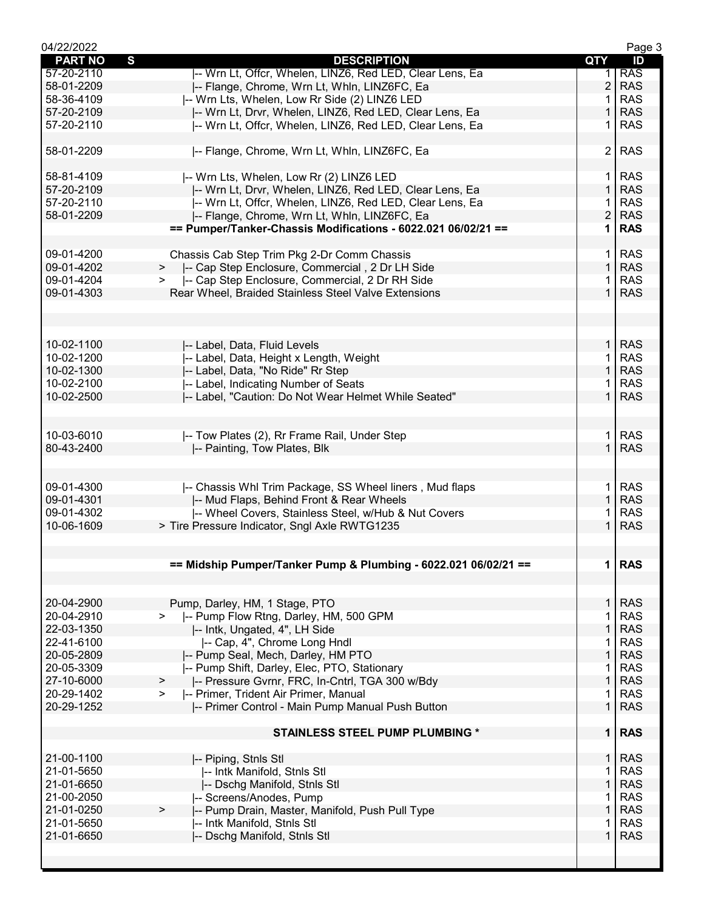| 04/22/2022     |                                                                 |                | Page 3     |
|----------------|-----------------------------------------------------------------|----------------|------------|
| <b>PART NO</b> | $\mathbf{s}$<br><b>DESCRIPTION</b>                              | QTY            | ID         |
| 57-20-2110     | -- Wrn Lt, Offcr, Whelen, LINZ6, Red LED, Clear Lens, Ea        | 1.             | <b>RAS</b> |
| 58-01-2209     | -- Flange, Chrome, Wrn Lt, Whln, LINZ6FC, Ea                    | $\overline{2}$ | <b>RAS</b> |
| 58-36-4109     | -- Wrn Lts, Whelen, Low Rr Side (2) LINZ6 LED                   | 1.             | <b>RAS</b> |
| 57-20-2109     | I-- Wrn Lt, Drvr, Whelen, LINZ6, Red LED, Clear Lens, Ea        |                | <b>RAS</b> |
| 57-20-2110     | -- Wrn Lt, Offcr, Whelen, LINZ6, Red LED, Clear Lens, Ea        |                | <b>RAS</b> |
|                |                                                                 |                |            |
| 58-01-2209     | -- Flange, Chrome, Wrn Lt, Whln, LINZ6FC, Ea                    | $\overline{2}$ | <b>RAS</b> |
|                |                                                                 |                |            |
| 58-81-4109     | -- Wrn Lts, Whelen, Low Rr (2) LINZ6 LED                        | 1.             | <b>RAS</b> |
| 57-20-2109     | -- Wrn Lt, Drvr, Whelen, LINZ6, Red LED, Clear Lens, Ea         | 1 <sup>1</sup> | <b>RAS</b> |
| 57-20-2110     | -- Wrn Lt, Offcr, Whelen, LINZ6, Red LED, Clear Lens, Ea        | 1.             | <b>RAS</b> |
| 58-01-2209     | -- Flange, Chrome, Wrn Lt, Whln, LINZ6FC, Ea                    | $\overline{2}$ | <b>RAS</b> |
|                | == Pumper/Tanker-Chassis Modifications - 6022.021 06/02/21 ==   | 1.             | <b>RAS</b> |
|                |                                                                 |                |            |
| 09-01-4200     | Chassis Cab Step Trim Pkg 2-Dr Comm Chassis                     | 1 <sup>1</sup> | <b>RAS</b> |
| 09-01-4202     | >  -- Cap Step Enclosure, Commercial, 2 Dr LH Side              | 1              | <b>RAS</b> |
| 09-01-4204     | -- Cap Step Enclosure, Commercial, 2 Dr RH Side<br>$\geq$       | $\mathbf 1$    | <b>RAS</b> |
| 09-01-4303     | Rear Wheel, Braided Stainless Steel Valve Extensions            | $\mathbf{1}$   | <b>RAS</b> |
|                |                                                                 |                |            |
|                |                                                                 |                |            |
|                |                                                                 |                |            |
|                |                                                                 |                |            |
| 10-02-1100     | -- Label, Data, Fluid Levels                                    |                | $1$ RAS    |
| 10-02-1200     | -- Label, Data, Height x Length, Weight                         | $\mathbf{1}$   | <b>RAS</b> |
| 10-02-1300     | -- Label, Data, "No Ride" Rr Step                               | $\mathbf{1}$   | <b>RAS</b> |
| 10-02-2100     | -- Label, Indicating Number of Seats                            | 1.             | <b>RAS</b> |
| 10-02-2500     | -- Label, "Caution: Do Not Wear Helmet While Seated"            | $\mathbf{1}$   | <b>RAS</b> |
|                |                                                                 |                |            |
|                |                                                                 |                |            |
| 10-03-6010     | -- Tow Plates (2), Rr Frame Rail, Under Step                    | 1.             | <b>RAS</b> |
| 80-43-2400     | -- Painting, Tow Plates, Blk                                    |                | <b>RAS</b> |
|                |                                                                 |                |            |
|                |                                                                 |                |            |
| 09-01-4300     | -- Chassis Whl Trim Package, SS Wheel liners, Mud flaps         | 1 <sup>1</sup> | <b>RAS</b> |
| 09-01-4301     | -- Mud Flaps, Behind Front & Rear Wheels                        | $\mathbf{1}$   | <b>RAS</b> |
| 09-01-4302     | -- Wheel Covers, Stainless Steel, w/Hub & Nut Covers            |                | <b>RAS</b> |
| 10-06-1609     | > Tire Pressure Indicator, Sngl Axle RWTG1235                   |                | <b>RAS</b> |
|                |                                                                 |                |            |
|                |                                                                 |                |            |
|                | == Midship Pumper/Tanker Pump & Plumbing - 6022.021 06/02/21 == | 1 <sup>1</sup> | <b>RAS</b> |
|                |                                                                 |                |            |
|                |                                                                 |                |            |
| 20-04-2900     |                                                                 | $\mathbf{1}$   | <b>RAS</b> |
|                | Pump, Darley, HM, 1 Stage, PTO                                  |                |            |
| 20-04-2910     | -- Pump Flow Rtng, Darley, HM, 500 GPM                          | 1              | <b>RAS</b> |
| 22-03-1350     | -- Intk, Ungated, 4", LH Side                                   | 1              | <b>RAS</b> |
| 22-41-6100     | -- Cap, 4", Chrome Long Hndl                                    | 1              | <b>RAS</b> |
| 20-05-2809     | -- Pump Seal, Mech, Darley, HM PTO                              | $\mathbf{1}$   | <b>RAS</b> |
| 20-05-3309     | -- Pump Shift, Darley, Elec, PTO, Stationary                    | 1              | <b>RAS</b> |
| 27-10-6000     | -- Pressure Gvrnr, FRC, In-Cntrl, TGA 300 w/Bdy<br>$\, >$       | $\mathbf{1}$   | <b>RAS</b> |
| 20-29-1402     | -- Primer, Trident Air Primer, Manual<br>$\geq$                 | $\mathbf 1$    | <b>RAS</b> |
| 20-29-1252     | I-- Primer Control - Main Pump Manual Push Button               | $\mathbf{1}$   | <b>RAS</b> |
|                |                                                                 |                |            |
|                | <b>STAINLESS STEEL PUMP PLUMBING *</b>                          | 1 <sup>1</sup> | <b>RAS</b> |
|                |                                                                 |                |            |
| 21-00-1100     | -- Piping, Stnls Stl                                            | $\mathbf{1}$   | <b>RAS</b> |
| 21-01-5650     | -- Intk Manifold, Stnls Stl                                     | 1              | <b>RAS</b> |
| 21-01-6650     | -- Dschg Manifold, Stnls Stl                                    | $\mathbf{1}$   | <b>RAS</b> |
| 21-00-2050     | -- Screens/Anodes, Pump                                         | 1              | <b>RAS</b> |
| 21-01-0250     | -- Pump Drain, Master, Manifold, Push Pull Type<br>$\, > \,$    | $\mathbf{1}$   | <b>RAS</b> |
| 21-01-5650     | -- Intk Manifold, Stnls Stl                                     | 1              | <b>RAS</b> |
| 21-01-6650     | -- Dschg Manifold, Stnls Stl                                    | 1              | <b>RAS</b> |
|                |                                                                 |                |            |
|                |                                                                 |                |            |
|                |                                                                 |                |            |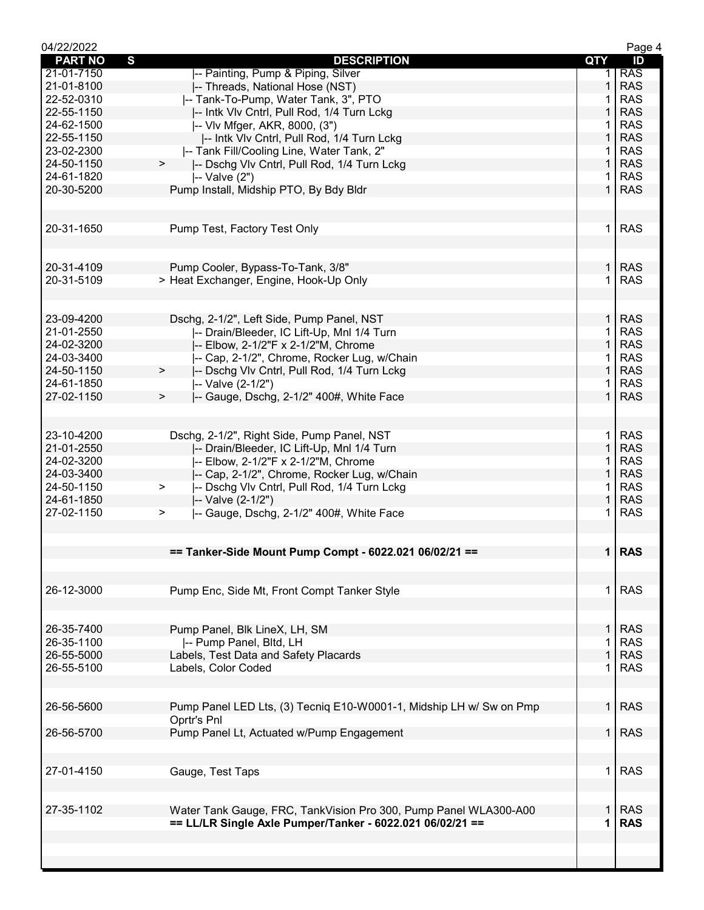| 04/22/2022     |                                                                     |                | Page 4     |
|----------------|---------------------------------------------------------------------|----------------|------------|
| <b>PART NO</b> | $\mathbf{s}$<br><b>DESCRIPTION</b>                                  | QTY            | ID         |
| 21-01-7150     | -- Painting, Pump & Piping, Silver                                  |                | <b>RAS</b> |
| 21-01-8100     | -- Threads, National Hose (NST)                                     | $\mathbf{1}$   | <b>RAS</b> |
| 22-52-0310     | -- Tank-To-Pump, Water Tank, 3", PTO                                | 1              | <b>RAS</b> |
| 22-55-1150     | -- Intk VIv Cntrl, Pull Rod, 1/4 Turn Lckg                          | 1              | <b>RAS</b> |
| 24-62-1500     | -- VIv Mfger, AKR, 8000, (3")                                       |                | <b>RAS</b> |
| 22-55-1150     | -- Intk VIv Cntrl, Pull Rod, 1/4 Turn Lckg                          | 1              | <b>RAS</b> |
| 23-02-2300     | -- Tank Fill/Cooling Line, Water Tank, 2"                           | 1              | <b>RAS</b> |
| 24-50-1150     | $\geq$<br>-- Dschg Vlv Cntrl, Pull Rod, 1/4 Turn Lckg               | $\mathbf{1}$   | <b>RAS</b> |
| 24-61-1820     | $ -$ Valve $(2")$                                                   | 1              | <b>RAS</b> |
| 20-30-5200     | Pump Install, Midship PTO, By Bdy Bldr                              | $\mathbf{1}$   | <b>RAS</b> |
|                |                                                                     |                |            |
|                |                                                                     |                |            |
| 20-31-1650     | Pump Test, Factory Test Only                                        | 1              | <b>RAS</b> |
|                |                                                                     |                |            |
| 20-31-4109     |                                                                     | $\mathbf{1}$   | <b>RAS</b> |
|                | Pump Cooler, Bypass-To-Tank, 3/8"                                   |                |            |
| 20-31-5109     | > Heat Exchanger, Engine, Hook-Up Only                              | 1.             | <b>RAS</b> |
|                |                                                                     |                |            |
| 23-09-4200     | Dschg, 2-1/2", Left Side, Pump Panel, NST                           | $\mathbf{1}$   | <b>RAS</b> |
| 21-01-2550     | -- Drain/Bleeder, IC Lift-Up, Mnl 1/4 Turn                          | 1              | <b>RAS</b> |
| 24-02-3200     |                                                                     | $\mathbf{1}$   | <b>RAS</b> |
|                | -- Elbow, 2-1/2"F x 2-1/2"M, Chrome                                 |                |            |
| 24-03-3400     | -- Cap, 2-1/2", Chrome, Rocker Lug, w/Chain                         | 1              | <b>RAS</b> |
| 24-50-1150     | -- Dschg VIv Cntrl, Pull Rod, 1/4 Turn Lckg<br>$\,$                 | $\mathbf{1}$   | <b>RAS</b> |
| 24-61-1850     | -- Valve (2-1/2")                                                   | 1              | <b>RAS</b> |
| 27-02-1150     | -- Gauge, Dschg, 2-1/2" 400#, White Face<br>$\, > \,$               | $\mathbf{1}$   | <b>RAS</b> |
|                |                                                                     |                |            |
|                |                                                                     |                |            |
| 23-10-4200     | Dschg, 2-1/2", Right Side, Pump Panel, NST                          | $\mathbf{1}$   | <b>RAS</b> |
| 21-01-2550     | -- Drain/Bleeder, IC Lift-Up, Mnl 1/4 Turn                          | $\mathbf{1}$   | <b>RAS</b> |
| 24-02-3200     | -- Elbow, 2-1/2"F x 2-1/2"M, Chrome                                 | $\mathbf 1$    | <b>RAS</b> |
| 24-03-3400     | -- Cap, 2-1/2", Chrome, Rocker Lug, w/Chain                         | $\mathbf{1}$   | <b>RAS</b> |
| 24-50-1150     | -- Dschg VIv Cntrl, Pull Rod, 1/4 Turn Lckg<br>>                    | $\mathbf 1$    | <b>RAS</b> |
| 24-61-1850     | -- Valve (2-1/2")                                                   | $\mathbf{1}$   | <b>RAS</b> |
| 27-02-1150     | -- Gauge, Dschg, 2-1/2" 400#, White Face<br>$\geq$                  | 1.             | <b>RAS</b> |
|                |                                                                     |                |            |
|                |                                                                     |                |            |
|                | == Tanker-Side Mount Pump Compt - 6022.021 06/02/21 ==              |                | 1 RAS      |
|                |                                                                     |                |            |
|                |                                                                     |                |            |
| 26-12-3000     | Pump Enc, Side Mt, Front Compt Tanker Style                         | 1 <sup>1</sup> | <b>RAS</b> |
|                |                                                                     |                |            |
| 26-35-7400     | Pump Panel, Blk LineX, LH, SM                                       | 1.             | <b>RAS</b> |
| 26-35-1100     | -- Pump Panel, Bltd, LH                                             |                | <b>RAS</b> |
|                |                                                                     | 1              |            |
| 26-55-5000     | Labels, Test Data and Safety Placards                               |                | <b>RAS</b> |
| 26-55-5100     | Labels, Color Coded                                                 |                | <b>RAS</b> |
|                |                                                                     |                |            |
| 26-56-5600     | Pump Panel LED Lts, (3) Tecniq E10-W0001-1, Midship LH w/ Sw on Pmp | 1 <sup>1</sup> | <b>RAS</b> |
|                | Oprtr's Pnl                                                         |                |            |
| 26-56-5700     | Pump Panel Lt, Actuated w/Pump Engagement                           | 1 I            | <b>RAS</b> |
|                |                                                                     |                |            |
|                |                                                                     |                |            |
| 27-01-4150     | Gauge, Test Taps                                                    | $\mathbf 1$    | <b>RAS</b> |
|                |                                                                     |                |            |
|                |                                                                     |                |            |
| 27-35-1102     | Water Tank Gauge, FRC, TankVision Pro 300, Pump Panel WLA300-A00    | $\mathbf{1}$   | <b>RAS</b> |
|                | == LL/LR Single Axle Pumper/Tanker - 6022.021 06/02/21 ==           | 1              | <b>RAS</b> |
|                |                                                                     |                |            |
|                |                                                                     |                |            |
|                |                                                                     |                |            |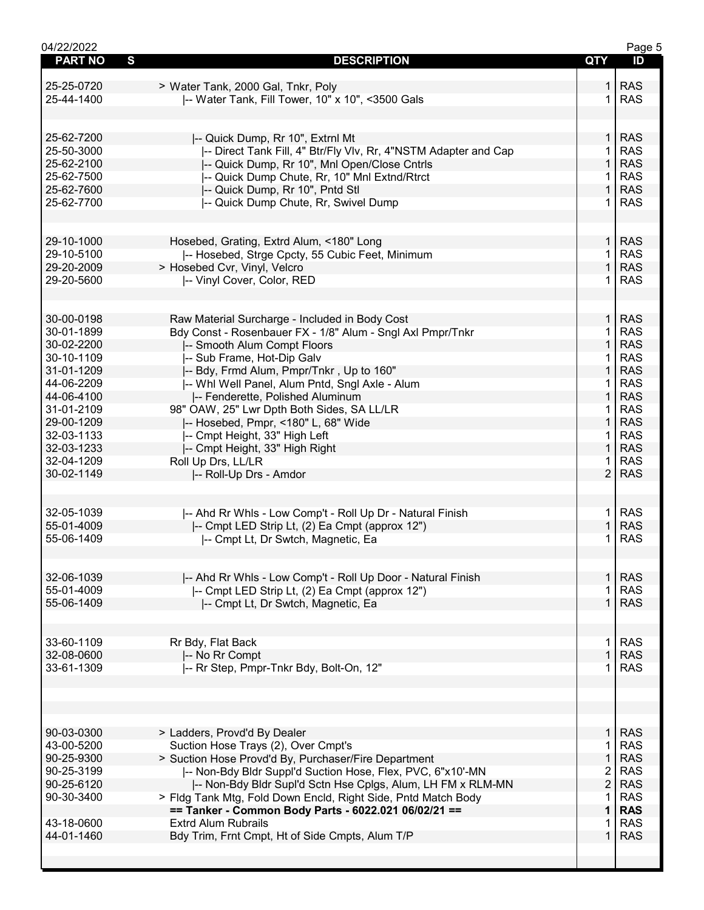| 04/22/2022     |                                                                 |                    | Page 5     |
|----------------|-----------------------------------------------------------------|--------------------|------------|
| <b>PART NO</b> | $\mathbf{s}$<br><b>DESCRIPTION</b>                              | <b>QTY</b>         | ID         |
|                |                                                                 |                    |            |
| 25-25-0720     | > Water Tank, 2000 Gal, Tnkr, Poly                              | 1.                 | <b>RAS</b> |
| 25-44-1400     | -- Water Tank, Fill Tower, 10" x 10", <3500 Gals                | 1.                 | <b>RAS</b> |
|                |                                                                 |                    |            |
|                |                                                                 |                    |            |
| 25-62-7200     |                                                                 | 1 <sup>1</sup>     | <b>RAS</b> |
|                | -- Quick Dump, Rr 10", Extrnl Mt                                | $\mathbf{1}$       | <b>RAS</b> |
| 25-50-3000     | -- Direct Tank Fill, 4" Btr/Fly Vlv, Rr, 4"NSTM Adapter and Cap |                    |            |
| 25-62-2100     | -- Quick Dump, Rr 10", Mnl Open/Close Cntrls                    | $\mathbf 1$        | <b>RAS</b> |
| 25-62-7500     | -- Quick Dump Chute, Rr, 10" Mnl Extnd/Rtrct                    | 1                  | <b>RAS</b> |
| 25-62-7600     | -- Quick Dump, Rr 10", Pntd Stl                                 | $\mathbf 1$        | <b>RAS</b> |
| 25-62-7700     | -- Quick Dump Chute, Rr, Swivel Dump                            | 1.                 | <b>RAS</b> |
|                |                                                                 |                    |            |
|                |                                                                 |                    |            |
| 29-10-1000     | Hosebed, Grating, Extrd Alum, <180" Long                        | 1 <sup>1</sup>     | <b>RAS</b> |
| 29-10-5100     | -- Hosebed, Strge Cpcty, 55 Cubic Feet, Minimum                 | $\mathbf{1}$       | <b>RAS</b> |
| 29-20-2009     | > Hosebed Cvr, Vinyl, Velcro                                    | $\mathbf 1$        | <b>RAS</b> |
| 29-20-5600     | -- Vinyl Cover, Color, RED                                      | 1.                 | <b>RAS</b> |
|                |                                                                 |                    |            |
|                |                                                                 |                    |            |
| 30-00-0198     |                                                                 | 1                  | <b>RAS</b> |
|                | Raw Material Surcharge - Included in Body Cost                  |                    |            |
| 30-01-1899     | Bdy Const - Rosenbauer FX - 1/8" Alum - Sngl Axl Pmpr/Tnkr      | $\mathbf{1}$       | <b>RAS</b> |
| 30-02-2200     | -- Smooth Alum Compt Floors                                     | $\mathbf{1}$       | <b>RAS</b> |
| 30-10-1109     | -- Sub Frame, Hot-Dip Galv                                      | 1.                 | <b>RAS</b> |
| 31-01-1209     | -- Bdy, Frmd Alum, Pmpr/Tnkr, Up to 160"                        | $\mathbf 1$        | <b>RAS</b> |
| 44-06-2209     | -- Whl Well Panel, Alum Pntd, Sngl Axle - Alum                  | 1.                 | <b>RAS</b> |
| 44-06-4100     | -- Fenderette, Polished Aluminum                                | $\mathbf 1$        | <b>RAS</b> |
| 31-01-2109     | 98" OAW, 25" Lwr Dpth Both Sides, SA LL/LR                      | 1.                 | <b>RAS</b> |
| 29-00-1209     | -- Hosebed, Pmpr, <180" L, 68" Wide                             | $\mathbf{1}$       | <b>RAS</b> |
| 32-03-1133     | -- Cmpt Height, 33" High Left                                   | $\mathbf{1}$       | <b>RAS</b> |
| 32-03-1233     | -- Cmpt Height, 33" High Right                                  | $\mathbf{1}$       | <b>RAS</b> |
| 32-04-1209     | Roll Up Drs, LL/LR                                              | $\mathbf{1}$       | <b>RAS</b> |
| 30-02-1149     | -- Roll-Up Drs - Amdor                                          | $\overline{2}$     | <b>RAS</b> |
|                |                                                                 |                    |            |
|                |                                                                 |                    |            |
| 32-05-1039     | -- Ahd Rr Whls - Low Comp't - Roll Up Dr - Natural Finish       | $\mathbf{1}$       | <b>RAS</b> |
| 55-01-4009     | -- Cmpt LED Strip Lt, (2) Ea Cmpt (approx 12")                  | $\mathbf{1}$       | <b>RAS</b> |
| 55-06-1409     | I-- Cmpt Lt, Dr Swtch, Magnetic, Ea                             | 1.                 | <b>RAS</b> |
|                |                                                                 |                    |            |
|                |                                                                 |                    |            |
| 32-06-1039     | -- Ahd Rr Whls - Low Comp't - Roll Up Door - Natural Finish     | 1 <sup>1</sup>     | <b>RAS</b> |
| 55-01-4009     | -- Cmpt LED Strip Lt, (2) Ea Cmpt (approx 12")                  | 1                  | <b>RAS</b> |
| 55-06-1409     |                                                                 | 1.                 | <b>RAS</b> |
|                | -- Cmpt Lt, Dr Swtch, Magnetic, Ea                              |                    |            |
|                |                                                                 |                    |            |
| 33-60-1109     | Rr Bdy, Flat Back                                               | 1                  | <b>RAS</b> |
| 32-08-0600     |                                                                 | 1                  | <b>RAS</b> |
|                | -- No Rr Compt                                                  | 1.                 | <b>RAS</b> |
| 33-61-1309     | -- Rr Step, Pmpr-Tnkr Bdy, Bolt-On, 12"                         |                    |            |
|                |                                                                 |                    |            |
|                |                                                                 |                    |            |
|                |                                                                 |                    |            |
| 90-03-0300     | > Ladders, Provd'd By Dealer                                    | 1 <sup>1</sup>     | <b>RAS</b> |
| 43-00-5200     |                                                                 |                    | <b>RAS</b> |
|                | Suction Hose Trays (2), Over Cmpt's                             | 1.<br>$\mathbf{1}$ |            |
| 90-25-9300     | > Suction Hose Provd'd By, Purchaser/Fire Department            |                    | <b>RAS</b> |
| 90-25-3199     | -- Non-Bdy Bldr Suppl'd Suction Hose, Flex, PVC, 6"x10'-MN      | $\overline{2}$     | <b>RAS</b> |
| 90-25-6120     | -- Non-Bdy Bldr Supl'd Sctn Hse Cplgs, Alum, LH FM x RLM-MN     | $\overline{2}$     | <b>RAS</b> |
| 90-30-3400     | > Fldg Tank Mtg, Fold Down Encld, Right Side, Pntd Match Body   | 1                  | <b>RAS</b> |
|                | == Tanker - Common Body Parts - 6022.021 06/02/21 ==            | 1                  | <b>RAS</b> |
| 43-18-0600     | <b>Extrd Alum Rubrails</b>                                      | 1                  | <b>RAS</b> |
| 44-01-1460     | Bdy Trim, Frnt Cmpt, Ht of Side Cmpts, Alum T/P                 | $\mathbf 1$        | <b>RAS</b> |
|                |                                                                 |                    |            |
|                |                                                                 |                    |            |